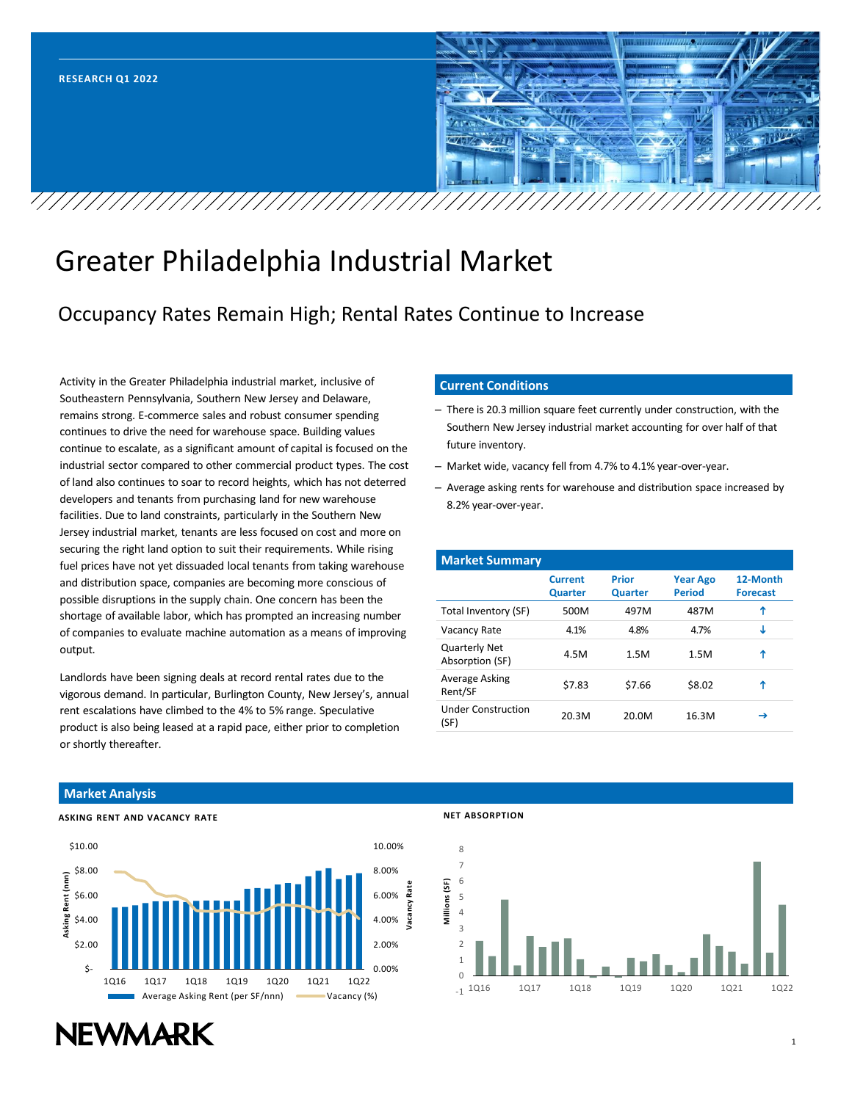

# Greater Philadelphia Industrial Market

## Occupancy Rates Remain High; Rental Rates Continue to Increase

Activity in the Greater Philadelphia industrial market, inclusive of Southeastern Pennsylvania, Southern New Jersey and Delaware, remains strong. E-commerce sales and robust consumer spending continues to drive the need for warehouse space. Building values continue to escalate, as a significant amount of capital is focused on the industrial sector compared to other commercial product types. The cost of land also continues to soar to record heights, which has not deterred developers and tenants from purchasing land for new warehouse facilities. Due to land constraints, particularly in the Southern New Jersey industrial market, tenants are less focused on cost and more on securing the right land option to suit their requirements. While rising fuel prices have not yet dissuaded local tenants from taking warehouse and distribution space, companies are becoming more conscious of possible disruptions in the supply chain. One concern has been the shortage of available labor, which has prompted an increasing number of companies to evaluate machine automation as a means of improving output.

Landlords have been signing deals at record rental rates due to the vigorous demand. In particular, Burlington County, New Jersey's, annual rent escalations have climbed to the 4% to 5% range. Speculative product is also being leased at a rapid pace, either prior to completion or shortly thereafter.

#### **Current Conditions**

- There is 20.3 million square feet currently under construction, with the Southern New Jersey industrial market accounting for over half of that future inventory.
- Market wide, vacancy fell from 4.7% to 4.1% year-over-year.
- Average asking rents for warehouse and distribution space increased by 8.2% year-over-year.

| <b>Market Summary</b>                   |                                  |                                |                                  |                             |
|-----------------------------------------|----------------------------------|--------------------------------|----------------------------------|-----------------------------|
|                                         | <b>Current</b><br><b>Quarter</b> | <b>Prior</b><br><b>Quarter</b> | <b>Year Ago</b><br><b>Period</b> | 12-Month<br><b>Forecast</b> |
| Total Inventory (SF)                    | 500M                             | 497M                           | 487M                             | Υ                           |
| Vacancy Rate                            | 4.1%                             | 4.8%                           | 4.7%                             | ι                           |
| <b>Quarterly Net</b><br>Absorption (SF) | 4.5M                             | 1.5M                           | 1.5M                             | Υ                           |
| Average Asking<br>Rent/SF               | \$7.83                           | \$7.66                         | \$8.02                           | ↑                           |
| <b>Under Construction</b><br>(SF)       | 20.3M                            | 20.0M                          | 16.3M                            | →                           |

#### **Market Analysis**





#### **NET ABSORPTION**



# **NEWMARK**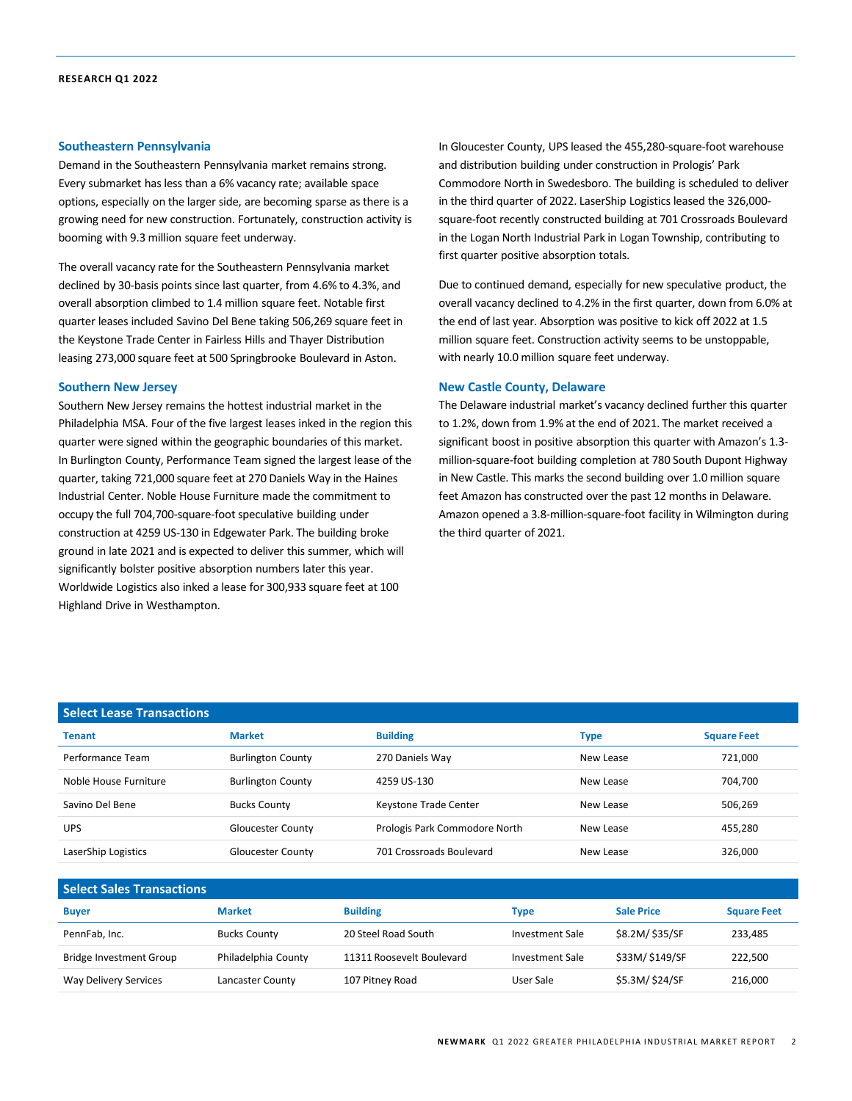#### **Southeastern Pennsylvania**

Demand in the Southeastern Pennsylvania market remains strong. Every submarket has less than a 6% vacancy rate; available space options, especially on the larger side, are becoming sparse as there is a growing need for new construction. Fortunately, construction activity is booming with 9.3 million square feet underway.

The overall vacancy rate for the Southeastern Pennsylvania market declined by 30-basis points since last quarter, from 4.6% to 4.3%, and overall absorption climbed to 1.4 million square feet. Notable first quarter leases included Savino Del Bene taking 506,269 square feet in the Keystone Trade Center in Fairless Hills and Thayer Distribution leasing 273,000 square feet at 500 Springbrooke Boulevard in Aston.

#### **Southern New Jersey**

Southern New Jersey remains the hottest industrial market in the Philadelphia MSA. Four of the five largest leases inked in the region this quarter were signed within the geographic boundaries of this market. In Burlington County, Performance Team signed the largest lease of the quarter, taking 721,000 square feet at 270 Daniels Way in the Haines Industrial Center. Noble House Furniture made the commitment to occupy the full 704,700-square-foot speculative building under construction at 4259 US-130 in Edgewater Park. The building broke ground in late 2021 and is expected to deliver this summer, which will significantly bolster positive absorption numbers later this year. Worldwide Logistics also inked a lease for 300,933 square feet at 100 Highland Drive in Westhampton.

In Gloucester County, UPS leased the 455,280-square-foot warehouse and distribution building under construction in Prologis' Park Commodore North in Swedesboro. The building is scheduled to deliver in the third quarter of 2022. LaserShip Logistics leased the 326,000 square-foot recently constructed building at 701 Crossroads Boulevard in the Logan North Industrial Park in Logan Township, contributing to first quarter positive absorption totals.

Due to continued demand, especially for new speculative product, the overall vacancy declined to 4.2% in the first quarter, down from 6.0% at the end of last year. Absorption was positive to kick off 2022 at 1.5 million square feet. Construction activity seems to be unstoppable, with nearly 10.0 million square feet underway.

#### **New Castle County, Delaware**

The Delaware industrial market's vacancy declined further this quarter to 1.2%, down from 1.9% at the end of 2021. The market received a significant boost in positive absorption this quarter with Amazon's 1.3 million-square-foot building completion at 780 South Dupont Highway in New Castle. This marks the second building over 1.0 million square feet Amazon has constructed over the past 12 months in Delaware. Amazon opened a 3.8-million-square-foot facility in Wilmington during the third quarter of 2021.

| <b>Select Lease Transactions</b> |                          |                               |           |                    |  |  |  |
|----------------------------------|--------------------------|-------------------------------|-----------|--------------------|--|--|--|
| <b>Tenant</b>                    | <b>Market</b>            | <b>Building</b>               | Type      | <b>Square Feet</b> |  |  |  |
| Performance Team                 | <b>Burlington County</b> | 270 Daniels Way               | New Lease | 721,000            |  |  |  |
| Noble House Furniture            | <b>Burlington County</b> | 4259 US-130                   | New Lease | 704,700            |  |  |  |
| Savino Del Bene                  | <b>Bucks County</b>      | Keystone Trade Center         | New Lease | 506,269            |  |  |  |
| <b>UPS</b>                       | Gloucester County        | Prologis Park Commodore North | New Lease | 455,280            |  |  |  |
| LaserShip Logistics              | Gloucester County        | 701 Crossroads Boulevard      | New Lease | 326,000            |  |  |  |

| <b>Select Sales Transactions</b> |                     |                           |                 |                   |                    |  |  |
|----------------------------------|---------------------|---------------------------|-----------------|-------------------|--------------------|--|--|
| <b>Buyer</b>                     | <b>Market</b>       | <b>Building</b>           | Type            | <b>Sale Price</b> | <b>Square Feet</b> |  |  |
| PennFab, Inc.                    | <b>Bucks County</b> | 20 Steel Road South       | Investment Sale | \$8.2M/\$35/SF    | 233,485            |  |  |
| Bridge Investment Group          | Philadelphia County | 11311 Roosevelt Boulevard | Investment Sale | \$33M/\$149/SF    | 222,500            |  |  |
| Way Delivery Services            | Lancaster County    | 107 Pitney Road           | User Sale       | \$5.3M/\$24/SF    | 216,000            |  |  |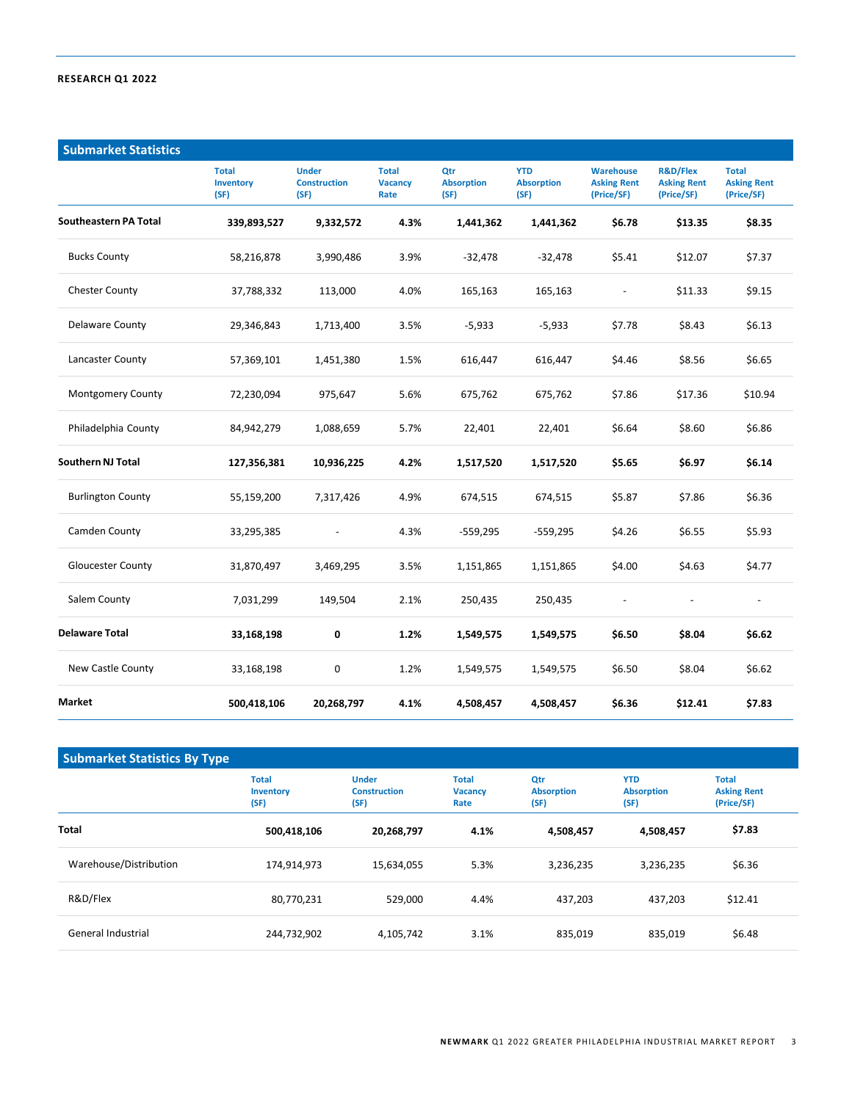| <b>Submarket Statistics</b> |                                          |                                             |                                        |                                  |                                         |                                                      |                                                         |                                                  |
|-----------------------------|------------------------------------------|---------------------------------------------|----------------------------------------|----------------------------------|-----------------------------------------|------------------------------------------------------|---------------------------------------------------------|--------------------------------------------------|
|                             | <b>Total</b><br><b>Inventory</b><br>(SF) | <b>Under</b><br><b>Construction</b><br>(SF) | <b>Total</b><br><b>Vacancy</b><br>Rate | Qtr<br><b>Absorption</b><br>(SF) | <b>YTD</b><br><b>Absorption</b><br>(SF) | <b>Warehouse</b><br><b>Asking Rent</b><br>(Price/SF) | <b>R&amp;D/Flex</b><br><b>Asking Rent</b><br>(Price/SF) | <b>Total</b><br><b>Asking Rent</b><br>(Price/SF) |
| Southeastern PA Total       | 339,893,527                              | 9,332,572                                   | 4.3%                                   | 1,441,362                        | 1,441,362                               | \$6.78                                               | \$13.35                                                 | \$8.35                                           |
| <b>Bucks County</b>         | 58,216,878                               | 3,990,486                                   | 3.9%                                   | $-32,478$                        | -32,478                                 | \$5.41                                               | \$12.07                                                 | \$7.37                                           |
| <b>Chester County</b>       | 37,788,332                               | 113,000                                     | 4.0%                                   | 165,163                          | 165,163                                 | $\overline{\phantom{a}}$                             | \$11.33                                                 | \$9.15                                           |
| <b>Delaware County</b>      | 29,346,843                               | 1,713,400                                   | 3.5%                                   | $-5,933$                         | $-5,933$                                | \$7.78                                               | \$8.43                                                  | \$6.13                                           |
| Lancaster County            | 57,369,101                               | 1,451,380                                   | 1.5%                                   | 616,447                          | 616,447                                 | \$4.46                                               | \$8.56                                                  | \$6.65                                           |
| <b>Montgomery County</b>    | 72,230,094                               | 975,647                                     | 5.6%                                   | 675,762                          | 675,762                                 | \$7.86                                               | \$17.36                                                 | \$10.94                                          |
| Philadelphia County         | 84,942,279                               | 1,088,659                                   | 5.7%                                   | 22,401                           | 22,401                                  | \$6.64                                               | \$8.60                                                  | \$6.86                                           |
| <b>Southern NJ Total</b>    | 127,356,381                              | 10,936,225                                  | 4.2%                                   | 1,517,520                        | 1,517,520                               | \$5.65                                               | \$6.97                                                  | \$6.14                                           |
| <b>Burlington County</b>    | 55,159,200                               | 7,317,426                                   | 4.9%                                   | 674,515                          | 674,515                                 | \$5.87                                               | \$7.86                                                  | \$6.36                                           |
| Camden County               | 33,295,385                               | $\overline{\phantom{a}}$                    | 4.3%                                   | $-559,295$                       | $-559,295$                              | \$4.26                                               | \$6.55                                                  | \$5.93                                           |
| Gloucester County           | 31,870,497                               | 3,469,295                                   | 3.5%                                   | 1,151,865                        | 1,151,865                               | \$4.00                                               | \$4.63                                                  | \$4.77                                           |
| Salem County                | 7,031,299                                | 149,504                                     | 2.1%                                   | 250,435                          | 250,435                                 | $\frac{1}{2}$                                        | $\blacksquare$                                          | $\blacksquare$                                   |
| <b>Delaware Total</b>       | 33,168,198                               | 0                                           | 1.2%                                   | 1,549,575                        | 1,549,575                               | \$6.50                                               | \$8.04                                                  | \$6.62                                           |
| New Castle County           | 33,168,198                               | 0                                           | 1.2%                                   | 1,549,575                        | 1,549,575                               | \$6.50                                               | \$8.04                                                  | \$6.62                                           |
| Market                      | 500,418,106                              | 20,268,797                                  | 4.1%                                   | 4,508,457                        | 4,508,457                               | \$6.36                                               | \$12.41                                                 | \$7.83                                           |

| <b>Submarket Statistics By Type</b> |                                   |                                             |                                        |                                  |                                         |                                                  |
|-------------------------------------|-----------------------------------|---------------------------------------------|----------------------------------------|----------------------------------|-----------------------------------------|--------------------------------------------------|
|                                     | <b>Total</b><br>Inventory<br>(SF) | <b>Under</b><br><b>Construction</b><br>(SF) | <b>Total</b><br><b>Vacancy</b><br>Rate | Qtr<br><b>Absorption</b><br>(SF) | <b>YTD</b><br><b>Absorption</b><br>(SF) | <b>Total</b><br><b>Asking Rent</b><br>(Price/SF) |
| <b>Total</b>                        | 500,418,106                       | 20,268,797                                  | 4.1%                                   | 4,508,457                        | 4,508,457                               | \$7.83                                           |
| Warehouse/Distribution              | 174,914,973                       | 15,634,055                                  | 5.3%                                   | 3,236,235                        | 3,236,235                               | \$6.36                                           |
| R&D/Flex                            | 80,770,231                        | 529,000                                     | 4.4%                                   | 437,203                          | 437,203                                 | \$12.41                                          |
| General Industrial                  | 244,732,902                       | 4,105,742                                   | 3.1%                                   | 835,019                          | 835,019                                 | \$6.48                                           |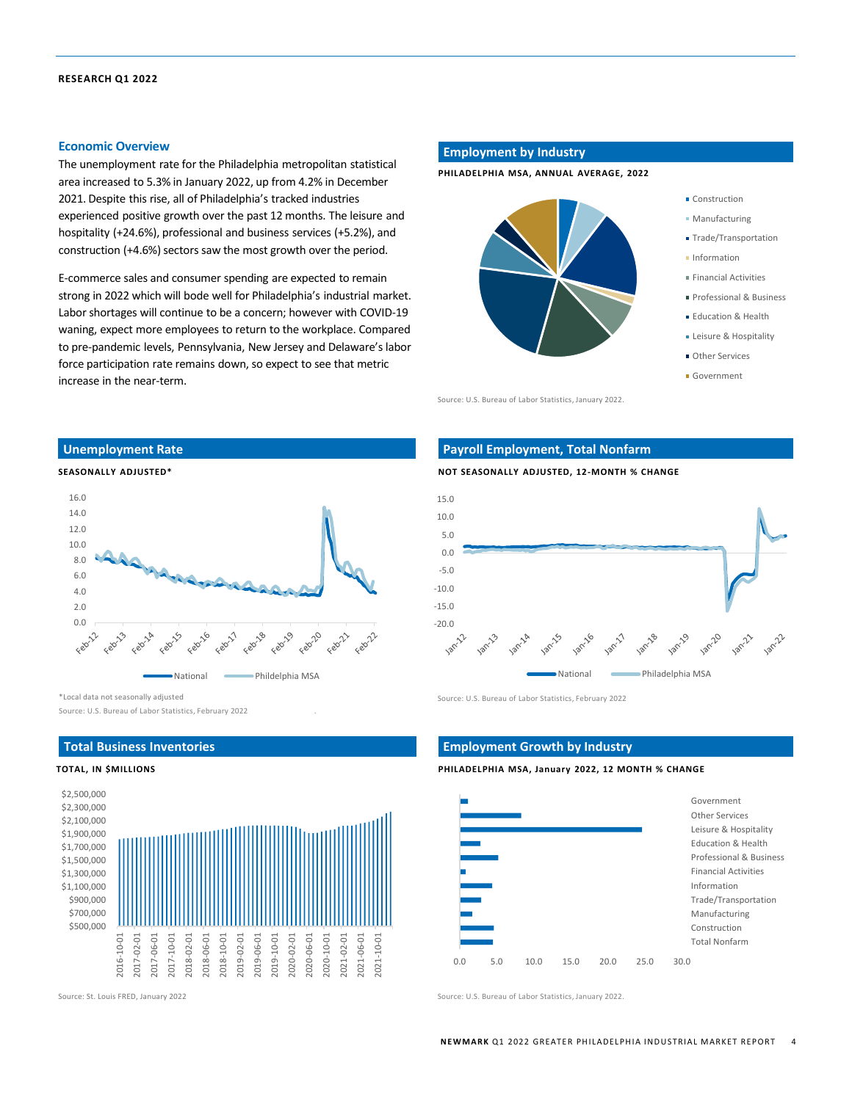#### **Economic Overview**

The unemployment rate for the Philadelphia metropolitan statistical area increased to 5.3% in January 2022, up from 4.2% in December 2021. Despite this rise, all of Philadelphia's tracked industries experienced positive growth over the past 12 months. The leisure and hospitality (+24.6%), professional and business services (+5.2%), and construction (+4.6%) sectors saw the most growth over the period.

E-commerce sales and consumer spending are expected to remain strong in 2022 which will bode well for Philadelphia's industrial market. Labor shortages will continue to be a concern; however with COVID-19 waning, expect more employees to return to the workplace. Compared to pre-pandemic levels, Pennsylvania, New Jersey and Delaware's labor force participation rate remains down, so expect to see that metric increase in the near-term.

#### **Unemployment Rate**





\*Local data not seasonally adjusted

Source: U.S. Bureau of Labor Statistics, February 2022 .

### **Total Business Inventories**

#### **TOTAL, IN \$MILLIONS**



#### **Employment by Industry**

**PHILADELPHIA MSA, ANNUAL AVERAGE, 2022**



Source: U.S. Bureau of Labor Statistics, January 2022.

#### Construction

- Manufacturing
- **Trade/Transportation**
- **Information**
- Financial Activities
- 
- Professional & Business
- **Education & Health**
- **ELeisure & Hospitality**
- **Other Services**
- Government

#### **Payroll Employment, Total Nonfarm**





Source: U.S. Bureau of Labor Statistics, February 2022

#### **Employment Growth by Industry**

**PHILADELPHIA MSA, January 2022, 12 MONTH % CHANGE**



Source: St. Louis FRED, January 2022 Source: U.S. Bureau of Labor Statistics, January 2022.